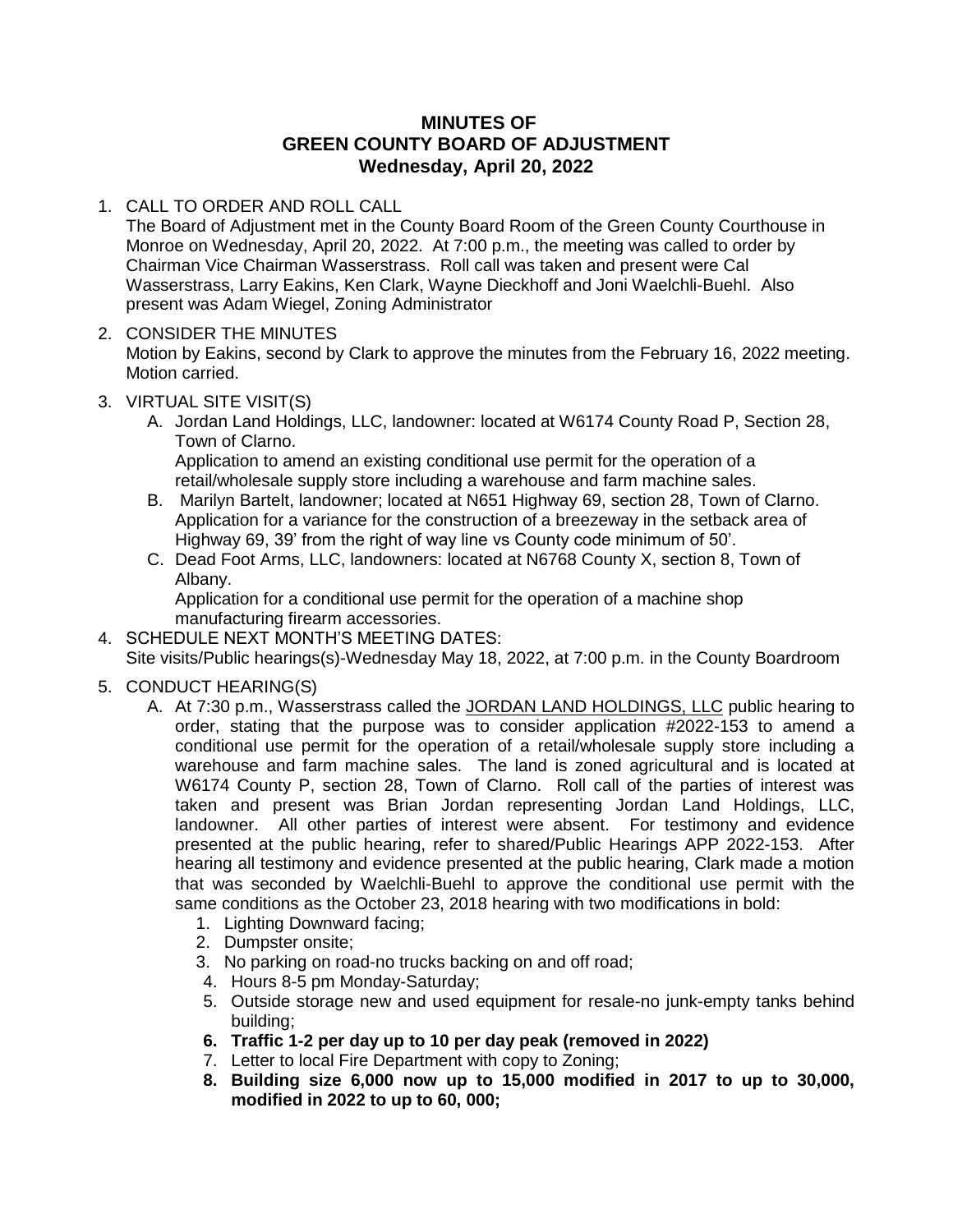## **MINUTES OF GREEN COUNTY BOARD OF ADJUSTMENT Wednesday, April 20, 2022**

### 1. CALL TO ORDER AND ROLL CALL

The Board of Adjustment met in the County Board Room of the Green County Courthouse in Monroe on Wednesday, April 20, 2022. At 7:00 p.m., the meeting was called to order by Chairman Vice Chairman Wasserstrass. Roll call was taken and present were Cal Wasserstrass, Larry Eakins, Ken Clark, Wayne Dieckhoff and Joni Waelchli-Buehl. Also present was Adam Wiegel, Zoning Administrator

# 2. CONSIDER THE MINUTES

Motion by Eakins, second by Clark to approve the minutes from the February 16, 2022 meeting. Motion carried.

### 3. VIRTUAL SITE VISIT(S)

A. Jordan Land Holdings, LLC, landowner: located at W6174 County Road P, Section 28, Town of Clarno.

Application to amend an existing conditional use permit for the operation of a retail/wholesale supply store including a warehouse and farm machine sales.

- B. Marilyn Bartelt, landowner; located at N651 Highway 69, section 28, Town of Clarno. Application for a variance for the construction of a breezeway in the setback area of Highway 69, 39' from the right of way line vs County code minimum of 50'.
- C. Dead Foot Arms, LLC, landowners: located at N6768 County X, section 8, Town of Albany.

Application for a conditional use permit for the operation of a machine shop manufacturing firearm accessories.

4. SCHEDULE NEXT MONTH'S MEETING DATES: Site visits/Public hearings(s)-Wednesday May 18, 2022, at 7:00 p.m. in the County Boardroom

## 5. CONDUCT HEARING(S)

- A. At 7:30 p.m., Wasserstrass called the JORDAN LAND HOLDINGS, LLC public hearing to order, stating that the purpose was to consider application #2022-153 to amend a conditional use permit for the operation of a retail/wholesale supply store including a warehouse and farm machine sales. The land is zoned agricultural and is located at W6174 County P, section 28, Town of Clarno. Roll call of the parties of interest was taken and present was Brian Jordan representing Jordan Land Holdings, LLC, landowner. All other parties of interest were absent. For testimony and evidence presented at the public hearing, refer to shared/Public Hearings APP 2022-153. After hearing all testimony and evidence presented at the public hearing, Clark made a motion that was seconded by Waelchli-Buehl to approve the conditional use permit with the same conditions as the October 23, 2018 hearing with two modifications in bold:
	- 1. Lighting Downward facing;
	- 2. Dumpster onsite;
	- 3. No parking on road-no trucks backing on and off road;
	- 4. Hours 8-5 pm Monday-Saturday;
	- 5. Outside storage new and used equipment for resale-no junk-empty tanks behind building;
	- **6. Traffic 1-2 per day up to 10 per day peak (removed in 2022)**
	- 7. Letter to local Fire Department with copy to Zoning;
	- **8. Building size 6,000 now up to 15,000 modified in 2017 to up to 30,000, modified in 2022 to up to 60, 000;**